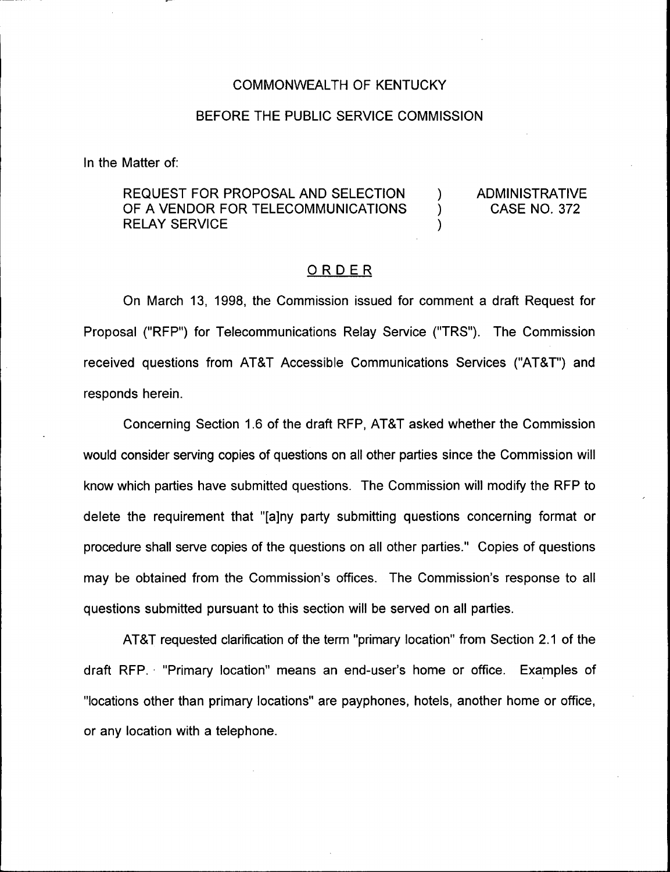#### COMMONWEALTH OF KENTUCKY

#### BEFORE THE PUBLIC SERVICE COMMISSION

In the Matter of:

REQUEST FOR PROPOSAL AND SELECTION  $\overline{a}$  administrative of a vendor for telecommunications  $\overline{a}$  case no. 372 OF A VENDOR FOR TELECOMMUNICATIONS RELAY SERVICE (1999)

#### ORDER

On March 13, 1998, the Commission issued for comment a draft Request for Proposal ("RFP") for Telecommunications Relay Service ("TRS"). The Commission received questions from AT8T Accessible Communications Services ("AT8T") and responds herein.

Concerning Section 1.6 of the draft RFP, AT8T asked whether the Commission would consider serving copies of questions on all other parties since the Commission will know which parties have submitted questions. The Commission will modify the RFP to delete the requirement that "[ajny party submitting questions concerning format or procedure shall serve copies of the questions on all other parties." Copies of questions may be obtained from the Commission's offices. The Commission's response to all questions submitted pursuant to this section will be served on all parties.

AT8T requested clarification of the term "primary location" from Section 2.1 of the draft RFP. "Primary location" means an end-user's home or office. Examples of "locations other than primary locations" are payphones, hotels, another home or office, or any location with a telephone.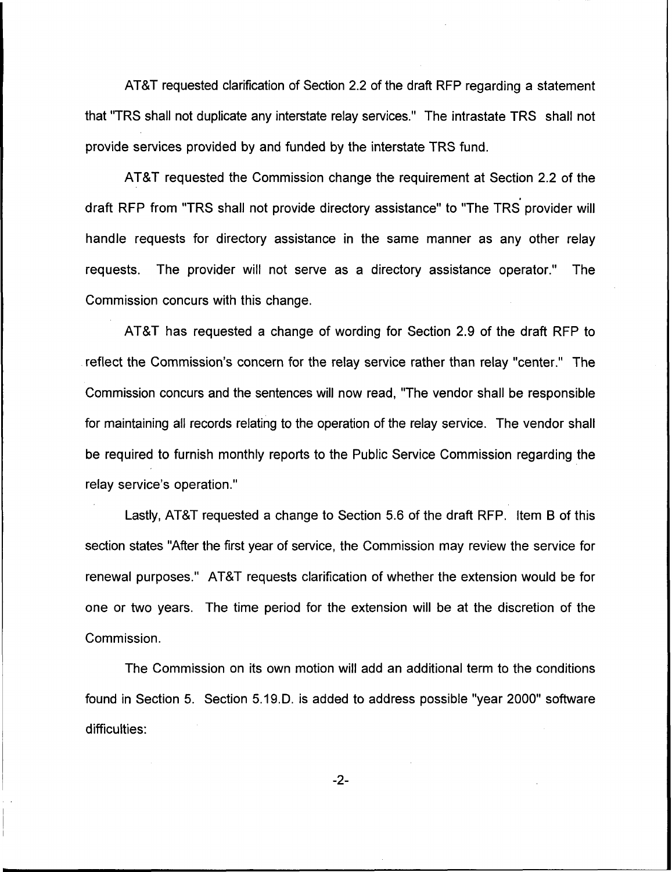AT&T requested clarification of Section 2.2 of the draft RFP regarding a statement that "TRS shall not duplicate any interstate relay services." The intrastate TRS shall not provide services provided by and funded by the interstate TRS fund.

ATBT requested the Commission change the requirement at Section 2.2 of the draft RFP from "TRS shall not provide directory assistance" to "The TRS provider will handle requests for directory assistance in the same manner as any other relay requests. The provider will not serve as a directory assistance operator." The Commission concurs with this change.

AT&T has requested a change of wording for Section 2.9 of the draft RFP to reflect the Commission's concern for the relay service rather than relay "center." The Commission concurs and the sentences will now read, "The vendor shall be responsible for maintaining all records relating to the operation of the relay service. The vendor shall be required to furnish monthly reports to the Public Service Commission regarding the relay service's operation."

Lastly, AT&T requested a change to Section 5.6 of the draft RFP. Item B of this section states "After the first year of service, the Commission may review the service for renewal purposes." AT8T requests clarification of whether the extension would be for one or two years. The time period for the extension will be at the discretion of the Commission.

The Commission on its own motion will add an additional term to the conditions found in Section 5. Section 5.19.D. is added to address possible "year 2000" software difficulties:

 $-2-$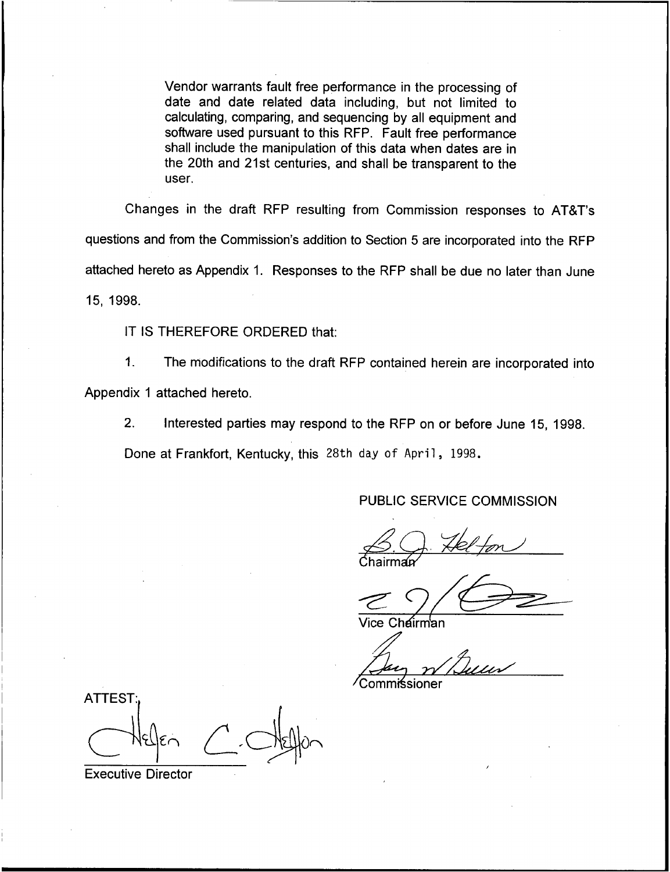Vendor warrants fault free performance in the processing of date and date related data including, but not limited to calculating, comparing, and sequencing by all equipment and software used pursuant to this RFP. Fault free performance shall include the manipulation of this data when dates are in the 20th and 21st centuries, and shall be transparent to the user.

Changes in the draft RFP resulting from Commission responses to ATBT's questions and from the Commission's addition to Section 5 are incorporated into the RFP attached hereto as Appendix 1. Responses to the RFP shall be due no later than June 15, 1998.

IT IS THEREFORE ORDERED that:

 $1<sub>1</sub>$ The modifications to the draft RFP contained herein are incorporated into Appendix 1 attached hereto.

2. Interested parties may respond to the RFP on or before June 15, 1998.

Done at Frankfort, Kentucky, this 28th day of April, 1998.

PUBLIC SERVICE COMMISSION

*l*ice Chairman

~Commissioner

**ATTEST** 

Executive Director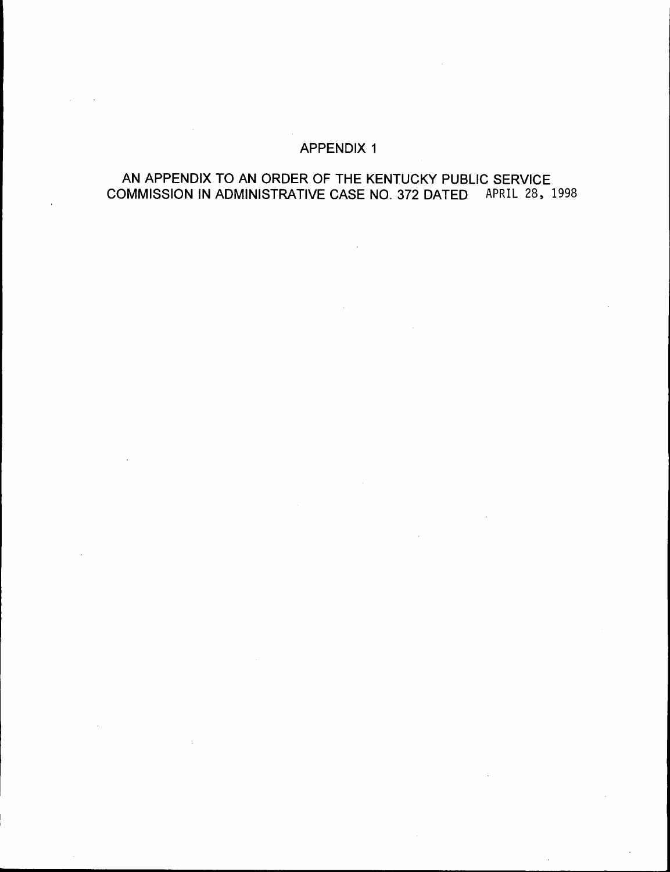### APPENDIX 1

# AN APPENDIX TO AN ORDER OF THE KENTUCKY PUBLIC SERVICE COMMISSION IN ADMINISTRATIVE CASE NO. 372 DATED APRIL 28, 1998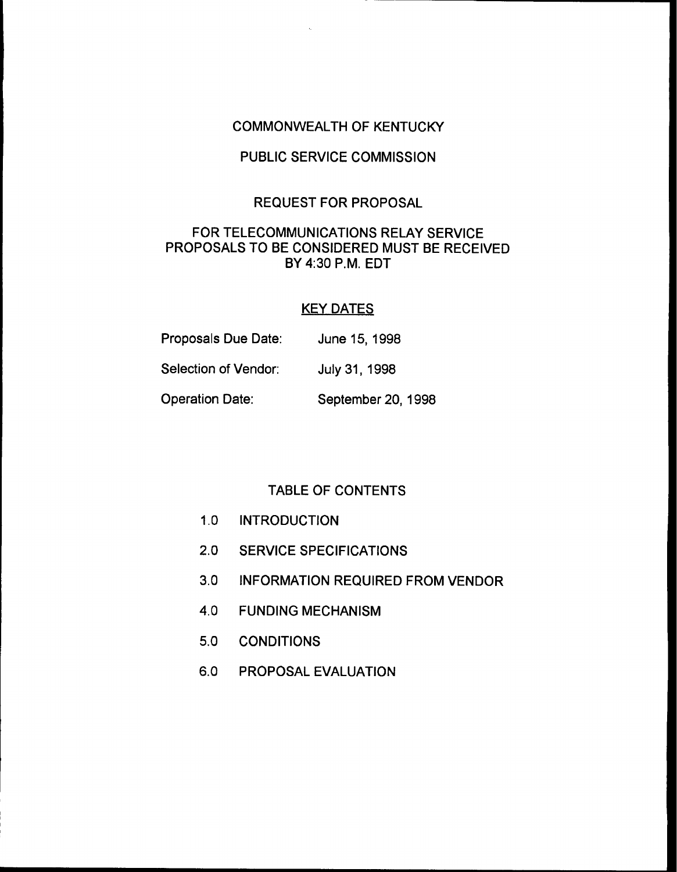#### COMMONWEALTH OF KENTUCKY

## PUBLIC SERVICE COMMISSION

#### REQUEST FOR PROPOSAL

### FOR TELECOMMUNICATIONS RELAY SERVICE PROPOSALS TO BE CONSIDERED MUST BE RECEIVED BY 4:30 P.M. EDT

#### KEY DATES

| Proposals Due Date:  | June 15, 1998      |
|----------------------|--------------------|
| Selection of Vendor: | July 31, 1998      |
| Operation Date:      | September 20, 1998 |

### TABLE OF CONTENTS

- 1.0 INTRODUCTION
- 2.0 SERVICE SPECIFICATIONS
- 3.0 INFORMATION REQUIRED FROM VENDOR
- 4.0 FUNDING MECHANISM
- 5.0 CONDITIONS
- 6.0 PROPOSAL EVALUATION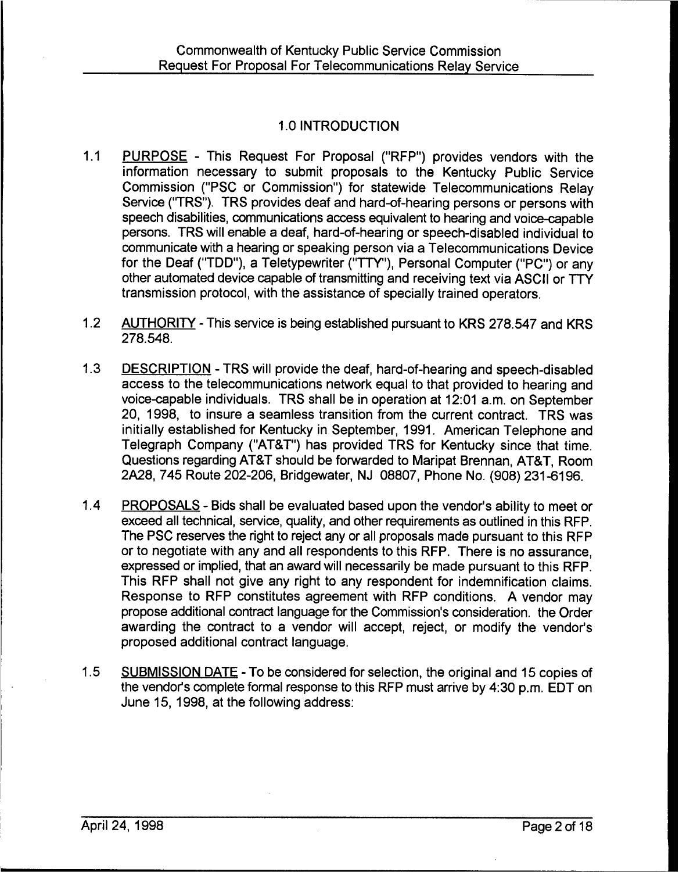# 1.0 INTRODUCTION

- $1.1$ PURPOSE - This Request For Proposal ("RFP") provides vendors with the information necessary to submit proposals to the Kentucky Public Service Commission ("PSC or Commission") for statewide Telecommunications Relay Service ("TRS"). TRS provides deaf and hard-of-hearing persons or persons with speech disabilities, communications access equivalent to hearing and voice-capable persons. TRS will enable a deaf, hard-of-hearing or speech-disabled individual to communicate with a hearing or speaking person via a Telecommunications Device for the Deaf ("TDD"), a Teletypewriter ("TTY"), Personal Computer ("PC") or any other automated device capable of transmitting and receiving text via ASCII or TTY transmission protocol, with the assistance of specially trained operators.
- $1.2$ AUTHORITY - This service is being established pursuant to KRS 278.547 and KRS 278.548.
- 1.3 DESCRIPTION TRS will provide the deaf, hard-of-hearing and speech-disabled access to the telecommunications network equal to that provided to hearing and voice-capable individuals. TRS shall be in operation at 12:01 a.m, on September 20, 1998, to insure a seamless transition from the current contract. TRS was initially established for Kentucky in September, 1991. American Telephone and Telegraph Company ("AT&T") has provided TRS for Kentucky since that time. Questions regarding AT&T should be forwarded to Maripat Brennan, AT8T, Room 2A28, 745 Route 202-206, Bridgewater, NJ 08807, Phone No. (908) 231-6196.
- 1.4 PROPOSALS Bids shall be evaluated based upon the vendor's ability to meet or exceed all technical, service, quality, and other requirements as outlined in this RFP. The PSC reserves the right to reject any or all proposals made pursuant to this RFP or to negotiate with any and all respondents to this RFP. There is no assurance, expressed or implied, that an award will necessarily be made pursuant to this RFP. This RFP shall not give any right to any respondent for indemnification claims. Response to RFP constitutes agreement with RFP conditions. A vendor may propose additional contract language for the Commission's consideration. the Order awarding the contract to a vendor will accept, reject, or modify the vendor's proposed additional contract language.
- 1.5 SUBMISSION DATE To be considered for selection, the original and 15 copies of the vendor's complete formal response to this RFP must arrive by 4:30 p.m. EDT on June 15, 1998, at the following address: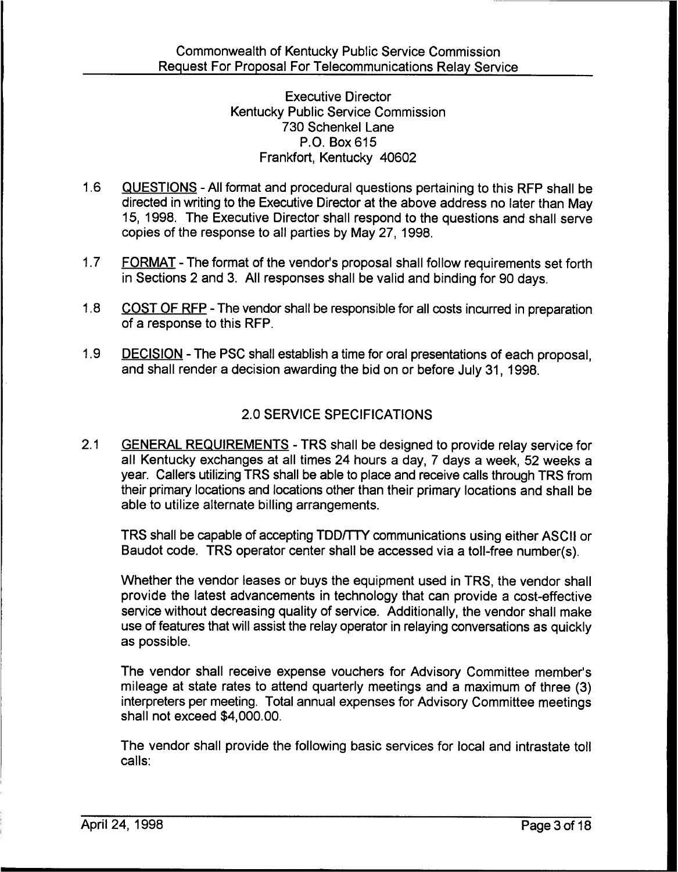Executive Director Kentucky Public Service Commission 730 Schenkel Lane P.O. Box 615 Frankfort, Kentucky 40602

- 1.6 QUESTIONS —All format and procedural questions pertaining to this RFP shall be directed in writing to the Executive Director at the above address no later than May 15, 1998. The Executive Director shall respond to the questions and shall serve copies of the response to all parties by May 27, 1998.
- 1.7 FORMAT The format of the vendor's proposal shall follow requirements set forth in Sections 2 and 3. All responses shall be valid and binding for 90 days.
- 1.8 COST OF RFP The vendor shall be responsible for all costs incurred in preparation of a response to this RFP.
- 1.9 DECISION The PSC shall establish a time for oral presentations of each proposal. and shall render a decision awarding the bid on or before July 31, 1998.

# 2.0 SERVICE SPECIFICATIONS

2.1 GENERAL REQUIREMENTS - TRS shall be designed to provide relay service for all Kentucky exchanges at all times 24 hours a day, 7 days a week, 52 weeks a year. Callers utilizing TRS shall be able to place and receive calls through TRS from their primary locations and locations other than their primary locations and shall be able to utilize alternate billing arrangements.

TRS shall be capable of accepting TDD/TTY communications using either ASCII or Baudot code. TRS operator center shall be accessed via a toll-free number(s).

Whether the vendor leases or buys the equipment used in TRS, the vendor shall provide the latest advancements in technology that can provide a cost-effective service without decreasing quality of service. Additionally, the vendor shall make use of features that will assist the relay operator in relaying conversations as quickly as possible.

The vendor shall receive expense vouchers for Advisory Committee member's mileage at state rates to attend quarterly meetings and a maximum of three (3) interpreters per meeting. Total annual expenses for Advisory Committee meetings shall not exceed \$4,000.00.

The vendor shall provide the following basic services for local and intrastate toll calls: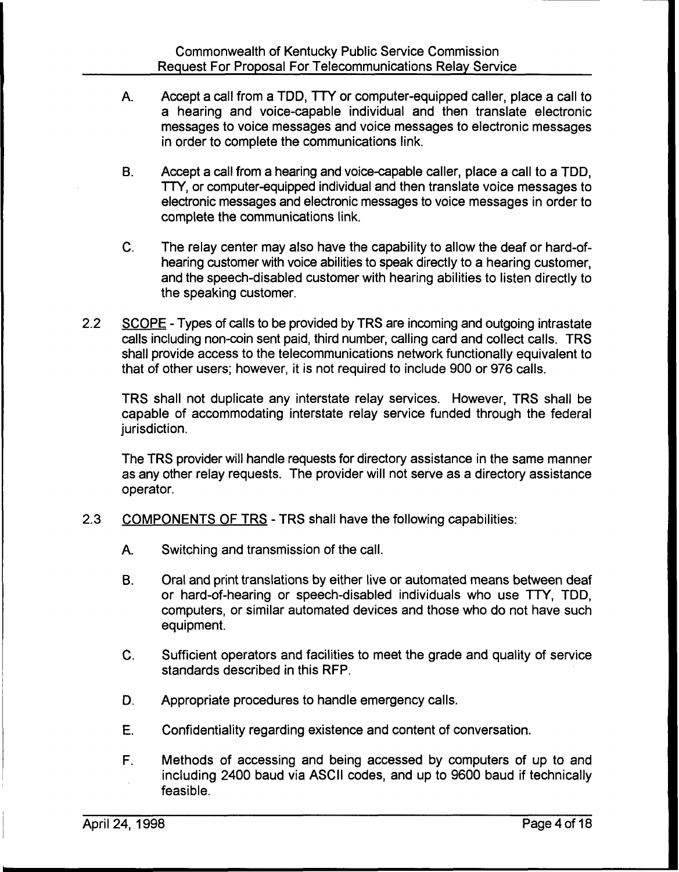- A. Accept a call from a TDD, TTY or computer-equipped caller, place a call to a hearing and voice-capable individual and then translate electronic messages to voice messages and voice messages to electronic messages in order to complete the communications link.
- B. Accept a call from a hearing and voice-capable caller, place a call to a TDD, TTY, or computer-equipped individual and then translate voice messages to electronic messages and electronic messages to voice messages in order to complete the communications link.
- C. The relay center may also have the capability to allow the deaf or hard-ofhearing customer with voice abilities to speak directly to a hearing customer, and the speech-disabled customer with hearing abilities to listen directly to the speaking customer.
- 2.2 SCOPE Types of calls to be provided by TRS are incoming and outgoing intrastate calls including non-coin sent paid, third number, calling card and collect calls. TRS shall provide access to the telecommunications network functionally equivalent to that of other users; however, it is not required to include 900 or 976 calls.

TRS shall not duplicate any interstate relay services. However, TRS shall be capable of accommodating interstate relay service funded through the federal jurisdiction.

The TRS provider will handle requests for directory assistance in the same manner as any other relay requests. The provider will not serve as a directory assistance operator.

- 2.3 COMPONENTS OF TRS TRS shall have the following capabilities:
	- A. Switching and transmission of the call.
	- **B.** Oral and print translations by either live or automated means between deaf or hard-of-hearing or speech-disabled individuals who use TTY, TDD, computers, or similar automated devices and those who do not have such equipment.
	- C. Sufficient operators and facilities to meet the grade and quality of service standards described in this RFP.
	- D. Appropriate procedures to handle emergency calls.
	- E. Confidentiality regarding existence and content of conversation.
	- F. Methods of accessing and being accessed by computers of up to and including 2400 baud via ASCII codes, and up to 9600 baud if technically feasible.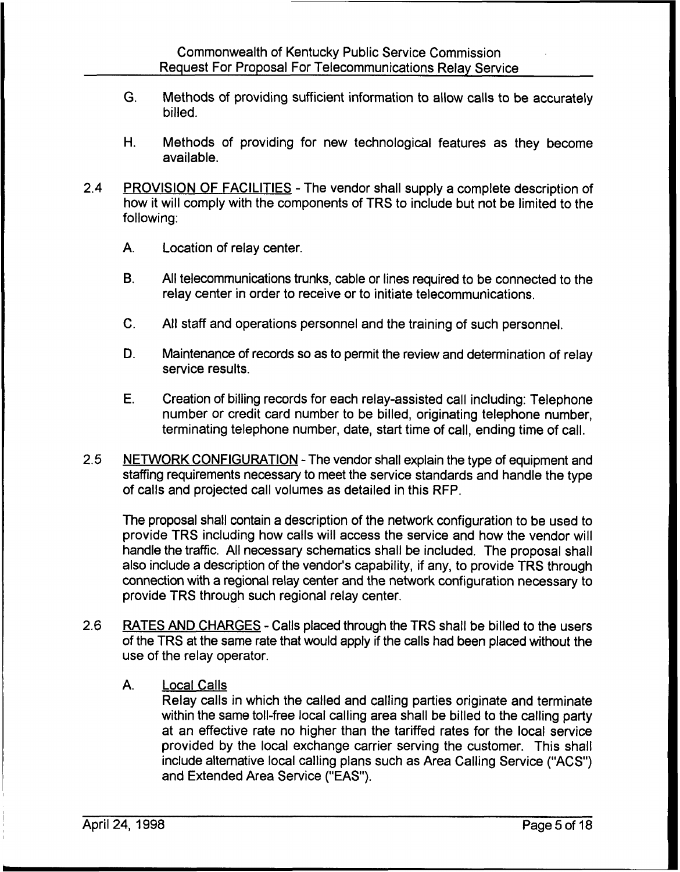- G. Methods of providing sufficient information to allow calls to be accurately billed.
- H. Methods of providing for new technological features as they become available.
- 2.4 PROVISION OF FACILITIES The vendor shall supply a complete description of how it will comply with the components of TRS to include but not be limited to the following:
	- A. Location of relay center.
	- B, All telecommunications trunks, cable or lines required to be connected to the relay center in order to receive or to initiate telecommunications.
	- C. All staff and operations personnel and the training of such personnel.
	- D. Maintenance of records so as to permit the review and determination of relay service results.
	- E. Creation of billing records for each relay-assisted call including: Telephone number or credit card number to be billed, originating telephone number, terminating telephone number, date, start time of call, ending time of call.
- 2.5 NETWORK CONFIGURATION The vendor shall explain the type of equipment and staffing requirements necessary to meet the service standards and handle the type of calls and projected call volumes as detailed in this RFP.

The proposal shall contain a description of the network configuration to be used to provide TRS including how calls will access the service and how the vendor will handle the traffic. All necessary schematics shall be included. The proposal shall also include a description of the vendor's capability, if any, to provide TRS through connection with a regional relay center and the network configuration necessary to provide TRS through such regional relay center.

- 2.6 RATES AND CHARGES Calls placed through the TRS shall be billed to the users of the TRS at the same rate that would apply if the calls had been placed without the use of the relay operator.
	- A. Local Calls

Relay calls in which the called and calling parties originate and terminate within the same toll-free local calling area shall be billed to the calling party at an effective rate no higher than the tariffed rates for the local service provided by the local exchange carrier serving the customer. This shall include alternative local calling plans such as Area Calling Service ("ACS") and Extended Area Service ("EAS").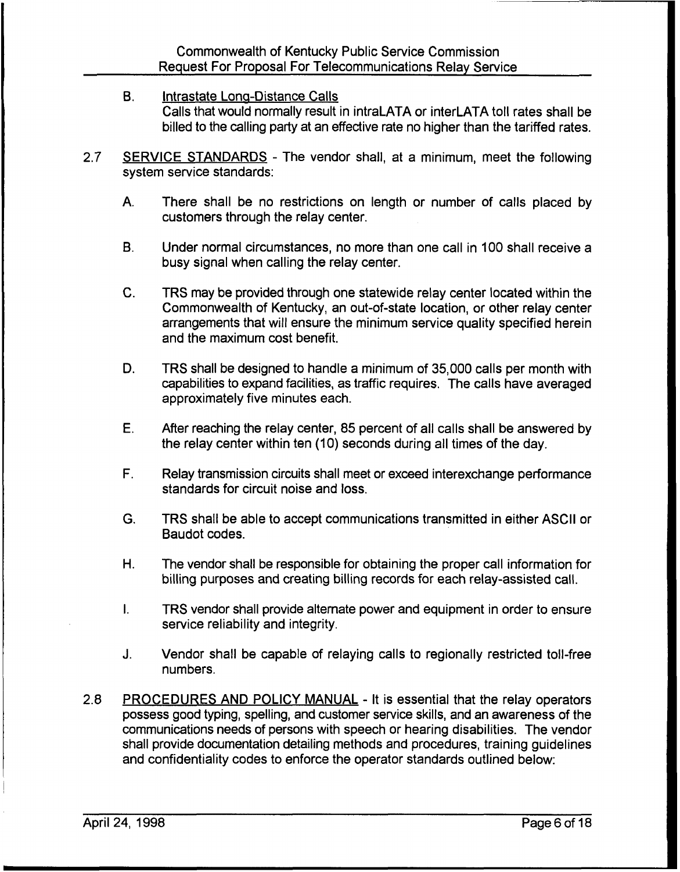- B. Intrastate Lona-Distance Calls Calls that would normally result in intraLATA or interLATA toll rates shall be billed to the calling party at an effective rate no higher than the tariffed rates.
- 2.7 SERVICE STANDARDS The vendor shall, at a minimum, meet the following system service standards:
	- A. There shall be no restrictions on length or number of calls placed by customers through the relay center.
	- B. Under normal circumstances, no more than one call in 100 shall receive a busy signal when calling the relay center.
	- TRS may be provided through one statewide relay center located within the  $C_{\cdot}$ Commonwealth of Kentucky, an out-of-state location, or other relay center arrangements that will ensure the minimum service quality specified herein and the maximum cost benefit.
	- D. TRS shall be designed to handle a minimum of 35,000 calls per month with capabilities to expand facilities, as traffic requires. The calls have averaged approximately five minutes each.
	- E. After reaching the relay center, 85 percent of all calls shall be answered by the relay center within ten (10) seconds during all times of the day.
	- F. Relay transmission circuits shall meet or exceed interexchange performance standards for circuit noise and loss.
	- G. TRS shall be able to accept communications transmitted in either ASCII or Baudot codes.
	- H. The vendor shall be responsible for obtaining the proper call information for billing purposes and creating billing records for each relay-assisted call.
	- I. TRS vendor shall provide alternate power and equipment in order to ensure service reliability and integrity.
	- J. Vendor shall be capable of relaying calls to regionally restricted toll-free numbers.
- 2.8 PROCEDURES AND POLICY MANUAL It is essential that the relay operators possess good typing, spelling, and customer service skills, and an awareness of the communications needs of persons with speech or hearing disabilities. The vendor shall provide documentation detailing methods and procedures, training guidelines and confidentiality codes to enforce the operator standards outlined below: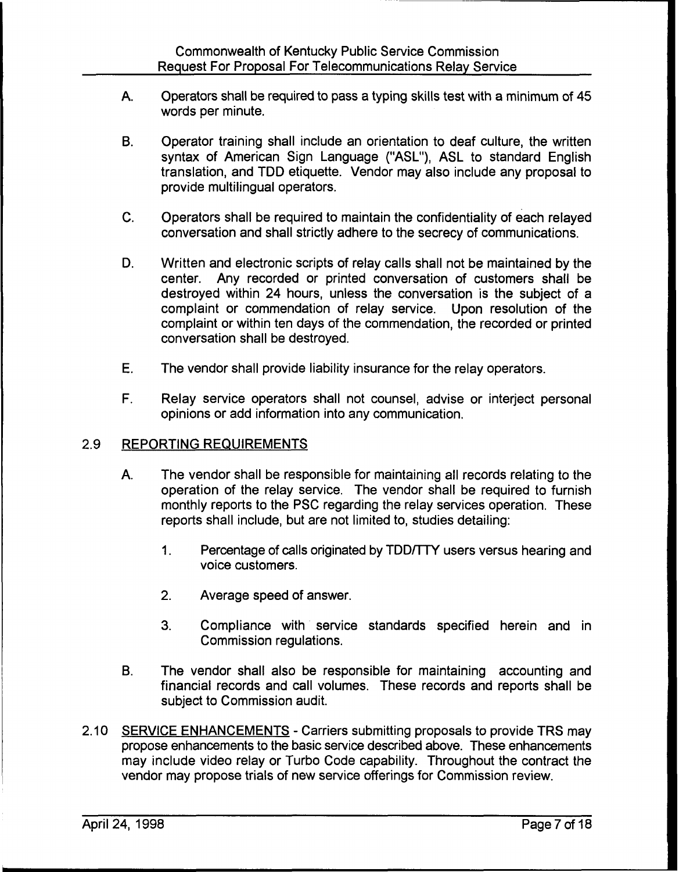- A. Operators shall be required to pass a typing skills test with a minimum of 45 words per minute.
- B. Operator training shall include an orientation to deaf culture, the written syntax of American Sign Language ("ASL"), ASL to standard English translation, and TDD etiquette. Vendor may also include any proposal to provide multilingual operators.
- C. Operators shall be required to maintain the confidentiality of each relayed conversation and shall strictly adhere to the secrecy of communications.
- D. Written and electronic scripts of relay calls shall not be maintained by the center. Any recorded or printed conversation of customers shall be destroyed within 24 hours, unless the conversation is the subject of a complaint or commendation of relay service. Upon resolution of the complaint or within ten days of the commendation, the recorded or printed conversation shall be destroyed.
- E. The vendor shall provide liability insurance for the relay operators.
- F. Relay service operators shall not counsel, advise or interject personal opinions or add information into any communication.

# 2.9 REPORTING REQUIREMENTS

- A. The vendor shall be responsible for maintaining all records relating to the operation of the relay service. The vendor shall be required to furnish monthly reports to the PSC regarding the relay services operation. These reports shall include, but are not limited to, studies detailing:
	- $1<sub>1</sub>$ Percentage of calls originated by TDD/TTY users versus hearing and voice customers.
	- 2. Average speed of answer.
	- 3. Compliance with service standards specified herein and in Commission regulations.
- B. The vendor shall also be responsible for maintaining accounting and financial records and call volumes. These records and reports shall be subject to Commission audit.
- 2.10 SERVICE ENHANCEMENTS Carriers submitting proposals to provide TRS may propose enhancements to the basic service described above. These enhancements may include video relay or Turbo Code capability. Throughout the contract the vendor may propose trials of new service offerings for Commission review.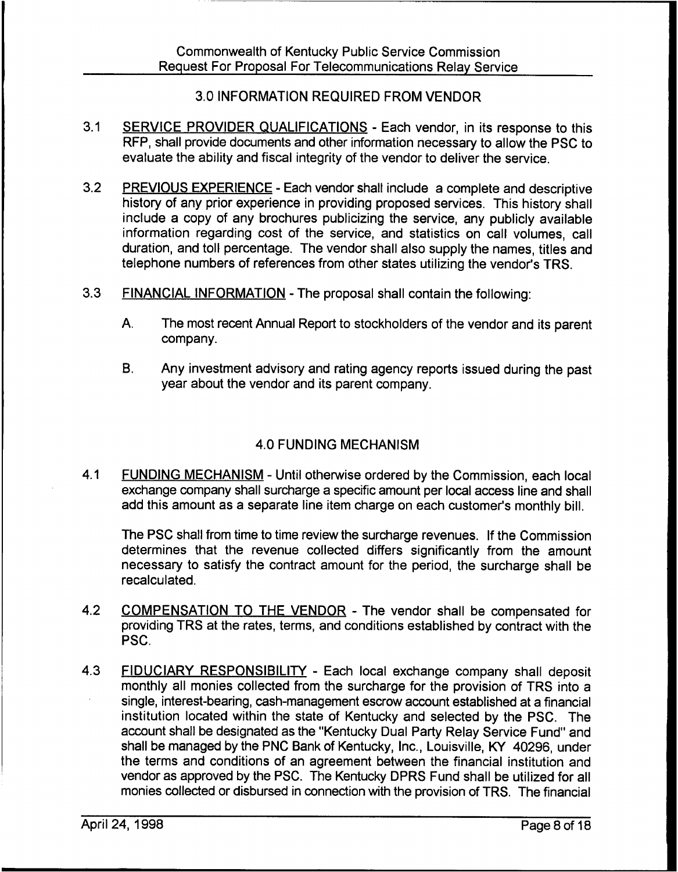# 3.0 INFORMATION REQUIRED FROM VENDOR

- 3.1 SERVICE PROVIDER QUALIFICATIONS Each vendor, in its response to this RFP, shall provide documents and other information necessary to allow the PSC to evaluate the ability and fiscal integrity of the vendor to deliver the service.
- 3.2 PREVIOUS EXPERIENCE Each vendor shall include a complete and descriptive history of any prior experience in providing proposed services. This history shall include a copy of any brochures publicizing the service, any publicly available information regarding cost of the service, and statistics on call volumes, call duration, and toll percentage. The vendor shall also supply the names, titles and telephone numbers of references from other states utilizing the vendor's TRS.
- 3.3 FINANCIAL INFORMATION The proposal shall contain the following:
	- A. The most recent Annual Report to stockholders of the vendor and its parent company.
	- B. Any investment advisory and rating agency reports issued during the past year about the vendor and its parent company.

# 4.0 FUNDING MECHANISM

4.1 FUNDING MECHANISM - Until otherwise ordered by the Commission, each local exchange company shall surcharge a specific amount per local access line and shall add this amount as a separate line item charge on each customer's monthly bill.

The PSC shall from time to time review the surcharge revenues. If the Commission determines that the revenue collected differs significantly from the amount necessary to satisfy the contract amount for the period, the surcharge shall be recalculated.

- 4.2 COMPENSATION TO THE VENDOR The vendor shall be compensated for providing TRS at the rates, terms, and conditions established by contract with the PSC.
- 4.3 FIDUCIARY RESPONSIBILITY Each local exchange company shall deposit monthly all monies collected from the surcharge for the provision of TRS into a single, interest-bearing, cash-management escrow account established at a financial institution located within the state of Kentucky and selected by the PSC. The account shall be designated as the "Kentucky Dual Party Relay Service Fund" and shall be managed by the PNC Bank of Kentucky, Inc., Louisville, KY 40296, under the terms and conditions of an agreement between the financial institution and vendor as approved by the PSC. The Kentucky DPRS Fund shall be utilized for all monies collected or disbursed in connection with the provision of TRS. The financial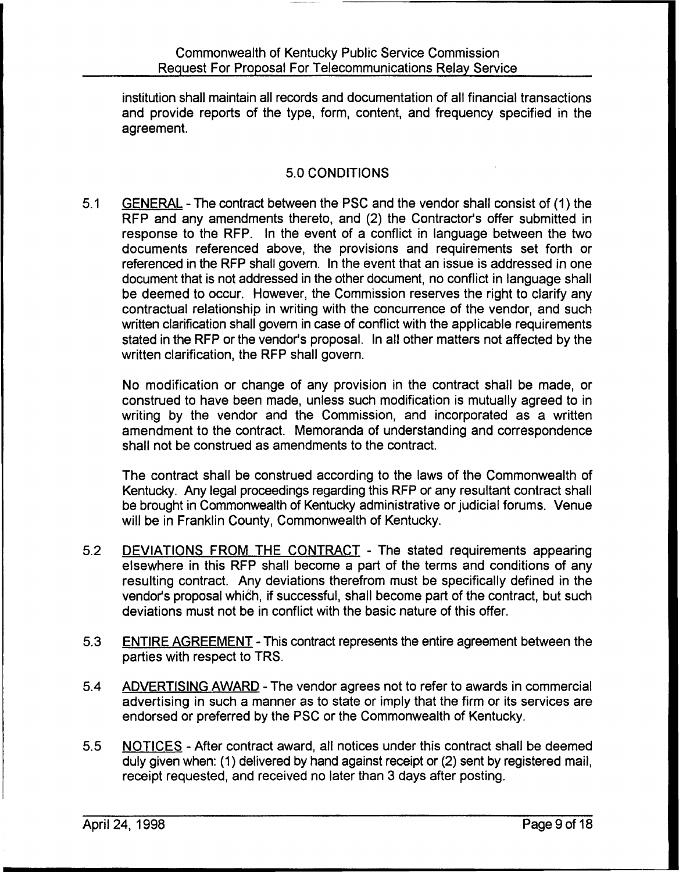institution shall maintain all records and documentation of all financial transactions and provide reports of the type, form, content, and frequency specified in the agreement.

# 5.0 CONDITIONS

5.1 GENERAL - The contract between the PSC and the vendor shall consist of (1) the RFP and any amendments thereto, and (2) the Contractor's offer submitted in response to the RFP. In the event of a conflict in language between the two documents referenced above, the provisions and requirements set forth or referenced in the RFP shall govern. In the event that an issue is addressed in one document that is not addressed in the other document, no conflict in language shall be deemed to occur. However, the Commission reserves the right to clarify any contractual relationship in writing with the concurrence of the vendor, and such written clarification shall govern in case of conflict with the applicable requirements stated in the RFP or the vendor's proposal. In all other matters not affected by the written clarification, the RFP shall govern,

No modification or change of any provision in the contract shall be made, or construed to have been made, unless such modification is mutually agreed to in writing by the vendor and the Commission, and incorporated as a written amendment to the contract. Memoranda of understanding and correspondence shall not be construed as amendments to the contract.

The contract shall be construed according to the laws of the Commonwealth of Kentucky. Any legal proceedings regarding this RFP or any resultant contract shall be brought in Commonwealth of Kentucky administrative or judicial forums. Venue will be in Franklin County, Commonwealth of Kentucky.

- 5.2 DEVIATIONS FROM THE CONTRACT The stated requirements appearing elsewhere in this RFP shall become a part of the terms and conditions of any resulting contract. Any deviations therefrom must be specifically defined in the vendor's proposal which, if successful, shall become part of the contract, but such deviations must not be in conflict with the basic nature of this offer.
- 5.3 ENTIRE AGREEMENT This contract represents the entire agreement between the parties with respect to TRS.
- 5.4 ADVERTISING AWARD The vendor agrees not to refer to awards in commercial advertising in such a manner as to state or imply that the firm or its services are endorsed or preferred by the PSC or the Commonwealth of Kentucky.
- 5.5 NOTICES After contract award, atl notices under this contract shall be deemed duly given when: (1) delivered by hand against receipt or (2) sent by registered mail, receipt requested, and received no later than 3 days after posting.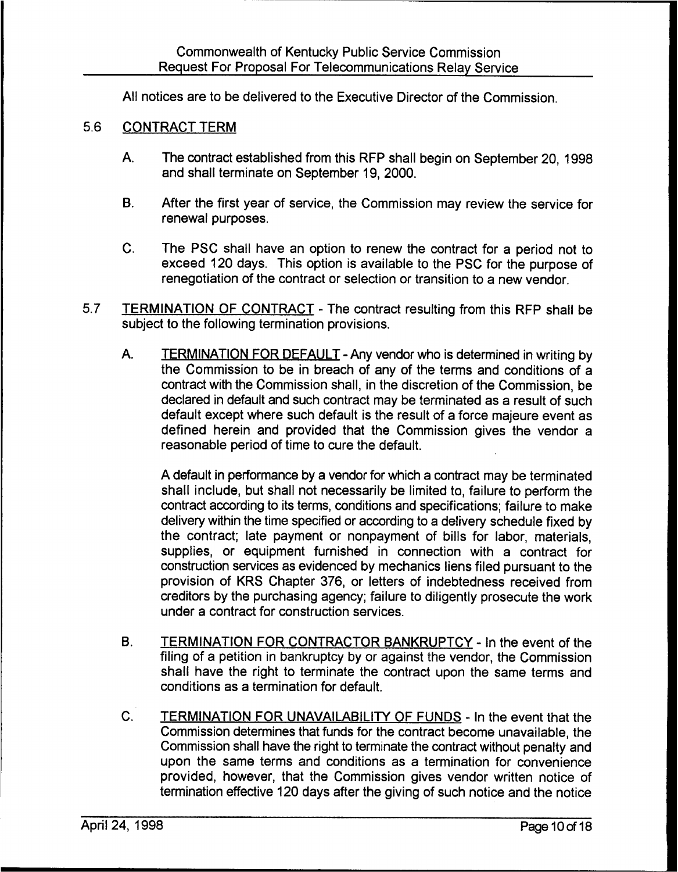All notices are to be delivered to the Executive Director of the Commission.

### 5.6 CONTRACT TERM

- A. The contract established from this RFP shall begin on September 20, 1998 and shall terminate on September 19, 2000.
- B. After the first year of service, the Commission may review the service for renewal purposes.
- C. The PSC shall have an option to renew the contract for a period not to exceed 120 days. This option is available to the PSC for the purpose of renegotiation of the contract or selection or transition to a new vendor.
- 5,7 TERMINATION OF CONTRACT The contract resulting from this RFP shall be subject to the following termination provisions.
	- A. TERMINATION FOR DEFAULT Any vendor who is determined in writing by the Commission to be in breach of any of the terms and conditions of a contract with the Commission shall, in the discretion of the Commission, be declared in default and such contract may be terminated as a result of such default except where such default is the result of a force majeure event as defined herein and provided that the Commission gives the vendor a reasonable period of time to cure the default.

A default in performance by a vendor for which a contract may be terminated shall include, but shall not necessarily be limited to, failure to perform the contract according to its terms, conditions and specifications; failure to make delivery within the time specified or according to a delivery schedule fixed by the contract; late payment or nonpayment of bills for labor, materials, supplies, or equipment furnished in connection with a contract for construction services as evidenced by mechanics liens filed pursuant to the provision of KRS Chapter 3?6, or letters of indebtedness received from creditors by the purchasing agency; failure to diligently prosecute the work under a contract for construction services.

- B. TERMINATION FOR CONTRACTOR BANKRUPTCY In the event of the filing of a petition in bankruptcy by or against the vendor, the Commission shall have the right to terminate the contract upon the same terms and conditions as a termination for default.
- C. TERMINATION FOR UNAVAILABILITY OF FUNDS In the event that the Commission determines that funds for the contract become unavailable, the Commission shall have the right to terminate the contract without penalty and upon the same terms and conditions as a termination for convenience provided, however, that the Commission gives vendor written notice of termination effective 120 days after the giving of such notice and the notice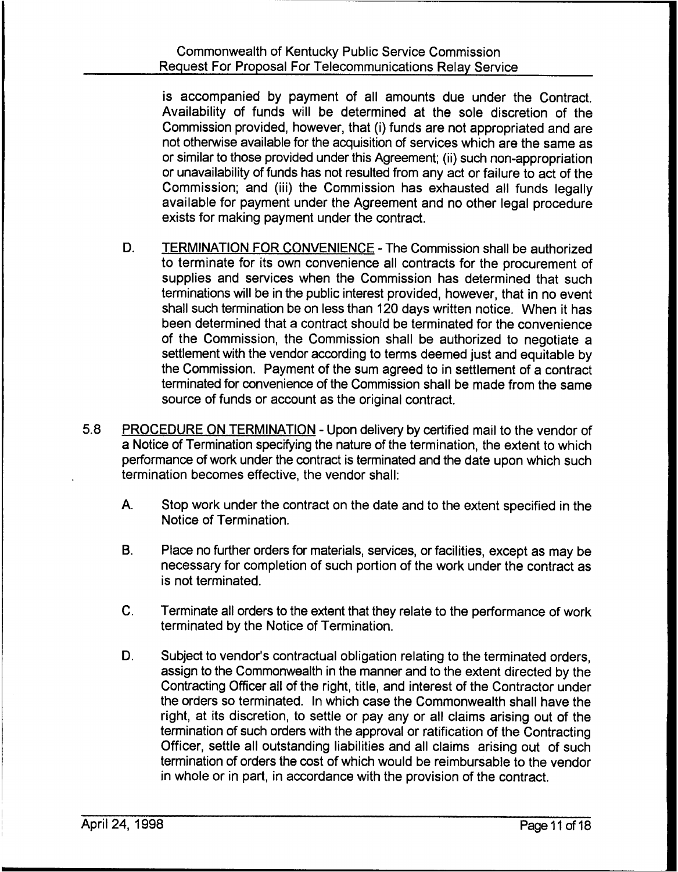is accompanied by payment of all amounts due under the Contract. Availability of funds will be determined at the sole discretion of the Commission provided, however, that (i) funds are not appropriated and are not otherwise available for the acquisition of services which are the same as or similar to those provided under this Agreement; (ii) such non-appropriation or unavailability of funds has not resulted from any act or failure to act of the Commission; and (iii) the Commission has exhausted all funds legally available for payment under the Agreement and no other legal procedure exists for making payment under the contract.

- D. TERMINATION FOR CONVENIENCE The Commission shall be authorized to terminate for its own convenience all contracts for the procurement of supplies and services when the Commission has determined that such terminations will be in the public interest provided, however, that in no event shall such termination be on less than 120 days written notice. When it has been determined that a contract should be terminated for the convenience of the Commission, the Commission shall be authorized to negotiate a settlement with the vendor according to terms deemed just and equitable by the Commission. Payment of the sum agreed to in settlement of a contract terminated for convenience of the Commission shall be made from the same source of funds or account as the original contract.
- 5.8 PROCEDURE ON TERMINATION Upon delivery by certified mail to the vendor of a Notice of Termination specifying the nature of the termination, the extent to which performance of work under the contract is terminated and the date upon which such termination becomes effective, the vendor shall:
	- A. Stop work under the contract on the date and to the extent specified in the Notice of Termination.
	- B. Place no further orders for materials, services, or facilities, except as may be necessary for completion of such portion of the work under the contract as is not terminated.
	- C. Terminate all orders to the extent that they relate to the performance of work terminated by the Notice of Termination.
	- D. Subject to vendor's contractual obligation relating to the terminated orders, assign to the Commonwealth in the manner and to the extent directed by the Contracting Officer all of the right, title, and interest of the Contractor under the orders so terminated. In which case the Commonwealth shall have the right, at its discretion, to settle or pay any or all claims arising out of the termination of such orders with the approval or ratification of the Contracting Officer, settle all outstanding liabilities and all claims arising out of such termination of orders the cost of which would be reimbursable to the vendor in whole or in part, in accordance with the provision of the contract.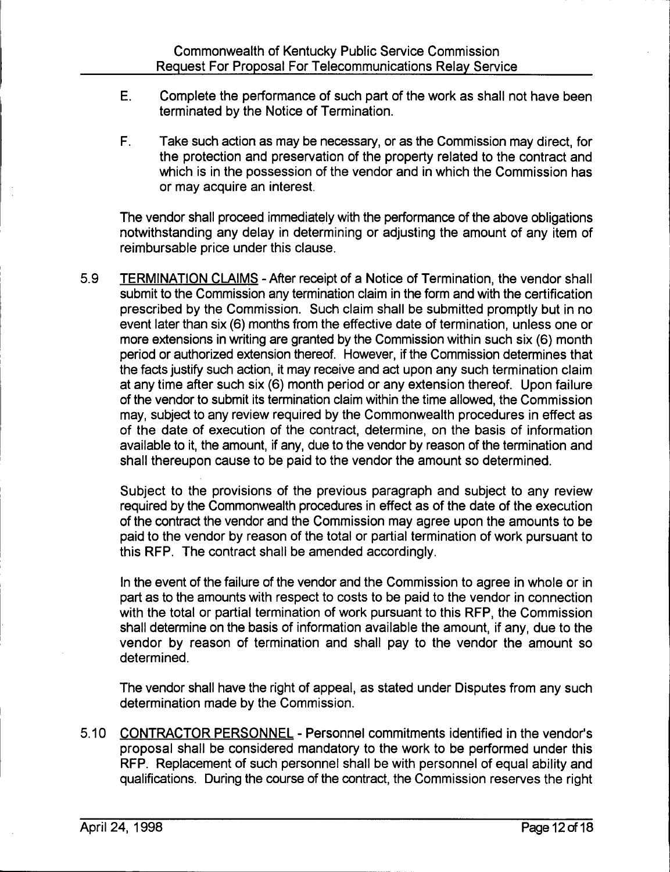- E. Complete the performance of such part of the work as shall not have been terminated by the Notice of Termination.
- F. Take such action as may be necessary, or as the Commission may direct, for the protection and preservation of the property related to the contract and which is in the possession of the vendor and in which the Commission has or may acquire an interest.

The vendor shall proceed immediately with the performance of the above obligations notwithstanding any delay in determining or adjusting the amount of any item of reimbursable price under this clause.

5.9 TERMINATION CLAIMS - After receipt of a Notice of Termination, the vendor shall submit to the Commission any termination claim in the form and with the certification prescribed by the Commission. Such claim shall be submitted promptly but in no event later than six (6) months from the effective date of termination, unless one or more extensions in writing are granted by the Commission within such six (6) month period or authorized extension thereof. However, if the Commission determines that the facts justify such action, it may receive and act upon any such termination claim at any time after such six (6) month period or any extension thereof. Upon failure of the vendor to submit its termination claim within the time allowed, the Commission may, subject to any review required by the Commonwealth procedures in effect as of the date of execution of the contract, determine, on the basis of information available to it, the amount, if any, due to the vendor by reason of the termination and shall thereupon cause to be paid to the vendor the amount so determined.

Subject to the provisions of the previous paragraph and subject to any review required by the Commonwealth procedures in effect as of the date of the execution of the contract the vendor and the Commission may agree upon the amounts to be paid to the vendor by reason of the total or partial termination of work pursuant to this RFP. The contract shall be amended accordingly.

In the event of the failure of the vendor and the Commission to agree in whole or in part as to the amounts with respect to costs to be paid to the vendor in connection with the total or partial termination of work pursuant to this RFP, the Commission shall determine on the basis of information available the amount, if any, due to the vendor by reason of termination and shall pay to the vendor the amount so determined.

The vendor shall have the right of appeal, as stated under Disputes from any such determination made by the Commission.

5.10 CONTRACTOR PERSONNEL - Personnel commitments identified in the vendor's proposal shall be considered mandatory to the work to be performed under this RFP. Replacement of such personnel shall be with personnel of equal ability and qualifications. During the course of the contract, the Commission reserves the right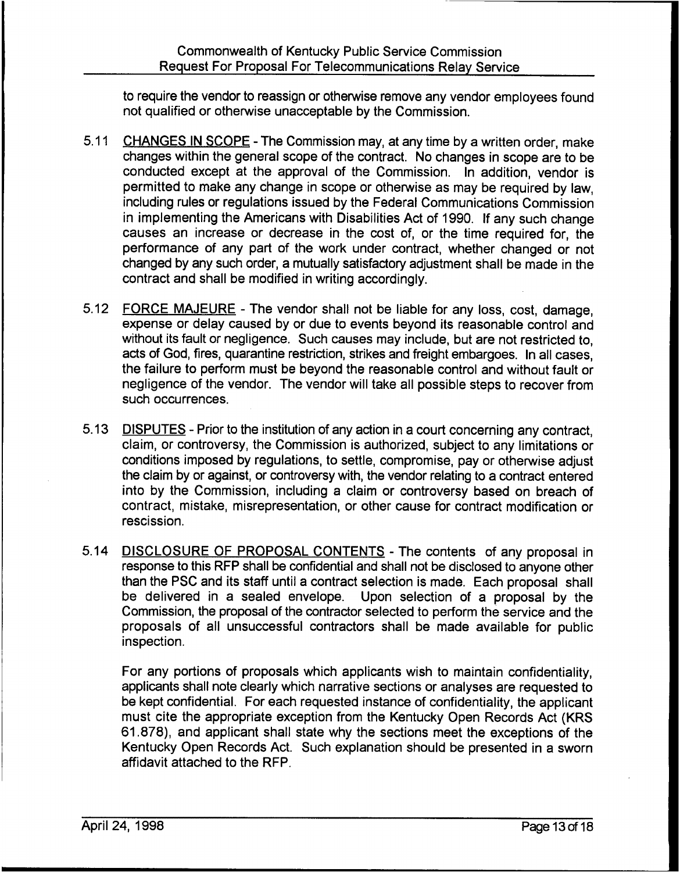to require the vendor to reassign or otherwise remove any vendor employees found not qualified or otherwise unacceptable by the Commission.

- 5.11 CHANGES IN SCOPE The Commission may, at any time by a written order, make changes within the general scope of the contract. No changes in scope are to be conducted except at the approval of the Commission. In addition, vendor is permitted to make any change in scope or otherwise as may be required by law, including rules or regulations issued by the Federal Communications Commission in implementing the Americans with Disabilities Act of 1990. If any such change causes an increase or decrease in the cost of, or the time required for, the performance of any part of the work under contract, whether changed or not changed by any such order, a mutually satisfactory adjustment shall be made in the contract and shall be modified in writing accordingly.
- 5.12 FORCE MAJEURE The vendor shall not be liable for any loss, cost, damage, expense or delay caused by or due to events beyond its reasonable control and without its fault or negligence. Such causes may include, but are not restricted to, acts of God, fires, quarantine restriction, strikes and freight embargoes. In all cases, the failure to perform must be beyond the reasonable control and without fault or negligence of the vendor. The vendor will take all possible steps to recover from such occurrences.
- 5.13 DISPUTES Prior to the institution of any action in a court concerning any contract, claim, or controversy, the Commission is authorized, subject to any limitations or conditions imposed by regulations, to settle, compromise, pay or otherwise adjust the claim by or against, or controversy with, the vendor relating to a contract entered into by the Commission, including a claim or controversy based on breach of contract, mistake, misrepresentation, or other cause for contract modification or rescission.
- 5.14 DISCLOSURE OF PROPOSAL CONTENTS The contents of any proposal in response to this RFP shall be confidential and shall not be disclosed to anyone other than the PSC and its staff until a contract selection is made. Each proposal shall be delivered in a sealed envelope. Upon selection of a proposal by the Commission, the proposal of the contractor selected to perform the service and the proposals of all unsuccessful contractors shall be made available for public inspection.

For any portions of proposals which applicants wish to maintain confidentiality, applicants shall note clearly which narrative sections or analyses are requested to be kept confidential. For each requested instance of confidentiality, the applicant must cite the appropriate exception from the Kentucky Open Records Act (KRS 61.878), and applicant shall state why the sections meet the exceptions of the Kentucky Open Records Act. Such explanation should be presented in a sworn affidavit attached to the RFP.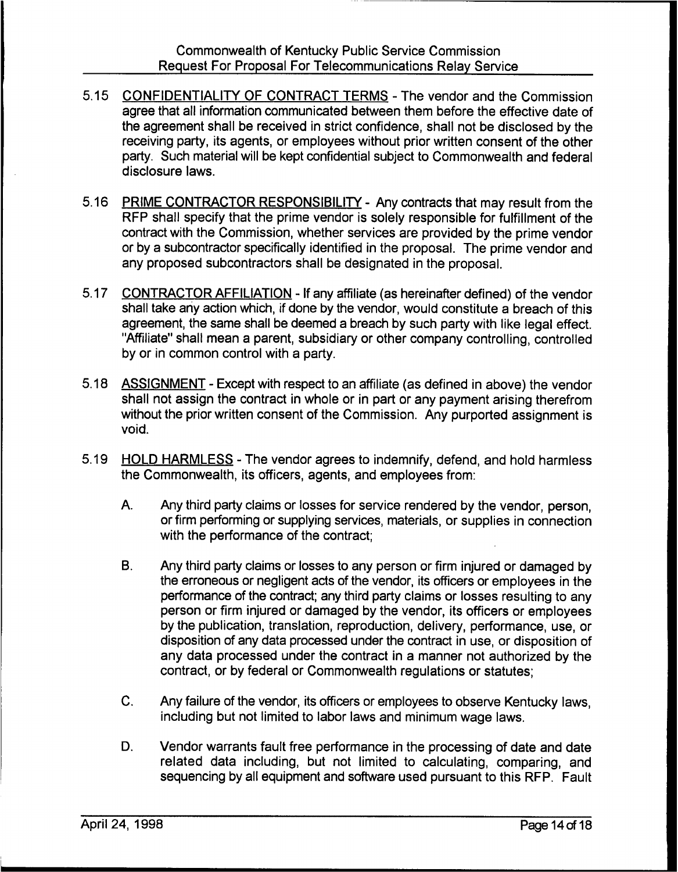- 5.15 CONFIDENTIALITY OF CONTRACT TERMS The vendor and the Commission agree that all information communicated between them before the effective date of the agreement shall be received in strict confidence, shall not be disclosed by the receiving party, its agents, or employees without prior written consent of the other party. Such material will be kept confidential subject to Commonwealth and federal disclosure laws.
- 5.16 PRIME CONTRACTOR RESPONSIBILITY Any contracts that may result from the RFP shall specify that the prime vendor is solely responsible for fulfillment of the contract with the Commission, whether services are provided by the prime vendor or by a subcontractor specifically identified in the proposal. The prime vendor and any proposed subcontractors shall be designated in the proposal.
- 5.17 CONTRACTOR AFFILIATION If any affiliate (as hereinafter defined) of the vendor shall take any action which, if done by the vendor, would constitute a breach of this agreement, the same shall be deemed a breach by such party with like legal effect. "Affiliate" shall mean a parent, subsidiary or other company controlling, controlled by or in common control with a party.
- 5.18 ASSIGNMENT Except with respect to an affiliate (as defined in above) the vendor shall not assign the contract in whole or in part or any payment arising therefrom without the prior written consent of the Commission. Any purported assignment is void.
- 5.19 HOLD HARMLESS The vendor agrees to indemnify, defend, and hold harmless the Commonwealth, its officers, agents, and employees from:
	- A. Any third party claims or losses for service rendered by the vendor, person, or firm performing or supplying services, materials, or supplies in connection with the performance of the contract;
	- **B.** Any third party claims or losses to any person or firm injured or damaged by the erroneous or negligent acts of the vendor, its officers or employees in the performance of the contract; any third party claims or losses resulting to any person or firm injured or damaged by the vendor, its officers or employees by the publication, translation, reproduction, delivery, performance, use, or disposition of any data processed under the contract in use, or disposition of any data processed under the contract in a manner not authorized by the contract, or by federal or Commonwealth regulations or statutes;
	- C. Any failure of the vendor, its officers or employees to observe Kentucky laws, including but not limited to labor laws and minimum wage laws.
	- D. Vendor warrants fault free performance in the processing of date and date related data including, but not limited to calculating, comparing, and sequencing by all equipment and software used pursuant to this RFP. Fault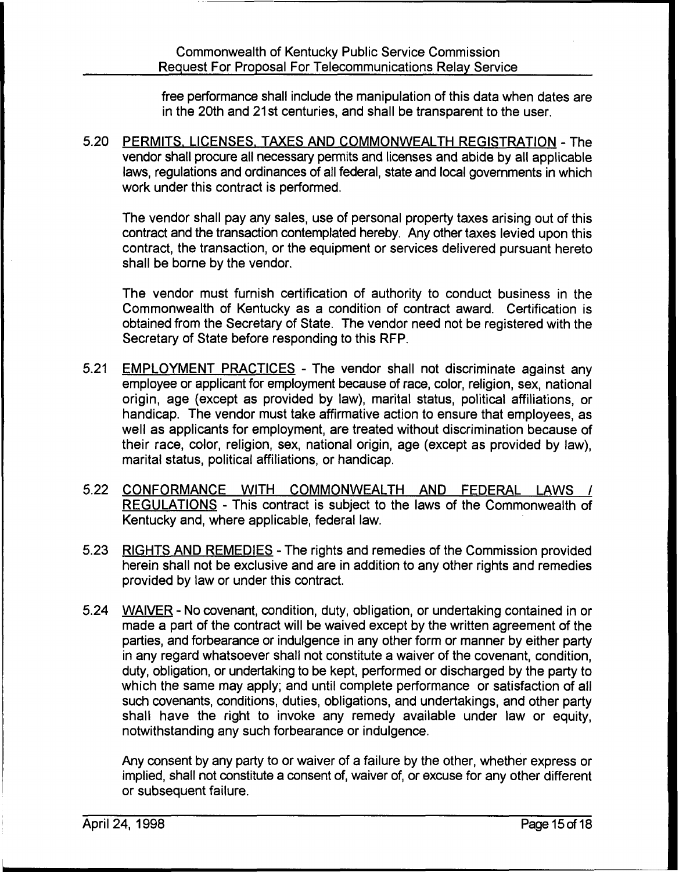free performance shall include the manipulation of this data when dates are in the 20th and 21st centuries, and shall be transparent to the user.

5.20 PERMITS. LICENSES. TAXES AND COMMONWEALTH REGISTRATION - The vendor shall procure all necessary permits and licenses and abide by all applicable laws, regulations and ordinances of all federal, state and local governments in which work under this contract is performed.

The vendor shall pay any sales, use of personal property taxes arising out of this contract and the transaction contemplated hereby. Any other taxes levied upon this contract, the transaction, or the equipment or services delivered pursuant hereto shall be borne by the vendor.

The vendor must furnish certification of authority to conduct business in the Commonwealth of Kentucky as a condition of contract award. Certification is obtained from the Secretary of State. The vendor need not be registered with the Secretary of State before responding to this RFP.

- 5.21 EMPLOYMENT PRACTICES The vendor shall not discriminate against any employee or applicant for employment because of race, color, religion, sex, national origin, age (except as provided by law), marital status, political affiliations, or handicap. The vendor must take affirmative action to ensure that employees, as well as applicants for employment, are treated without discrimination because of their race, color, religion, sex, national origin, age (except as provided by law), marital status, political affiliations, or handicap.
- 5.22 CONFORMANCE WITH COMMONWEALTH AND FEDERAL LAWS / REGULATIONS - This contract is subject to the laws of the Commonwealth of Kentucky and, where applicable, federal law.
- 5.23 RIGHTS AND REMEDIES The rights and remedies of the Commission provided herein shall not be exclusive and are in addition to any other rights and remedies provided by law or under this contract.
- 5.24 WAIVER No covenant, condition, duty, obligation, or undertaking contained in or made a part of the contract will be waived except by the written agreement of the parties, and forbearance or indulgence in any other form or manner by either party in any regard whatsoever shall not constitute a waiver of the covenant, condition, duty, obligation, or undertaking to be kept, performed or discharged by the party to which the same may apply; and until complete performance or satisfaction of all such covenants, conditions, duties, obligations, and undertakings, and other party shall have the right to invoke any remedy available under law or equity, notwithstanding any such forbearance or indulgence.

Any consent by any party to or waiver of a failure by the other, whether express or implied, shall not constitute a consent of, waiver of, or excuse for any other different or subsequent failure.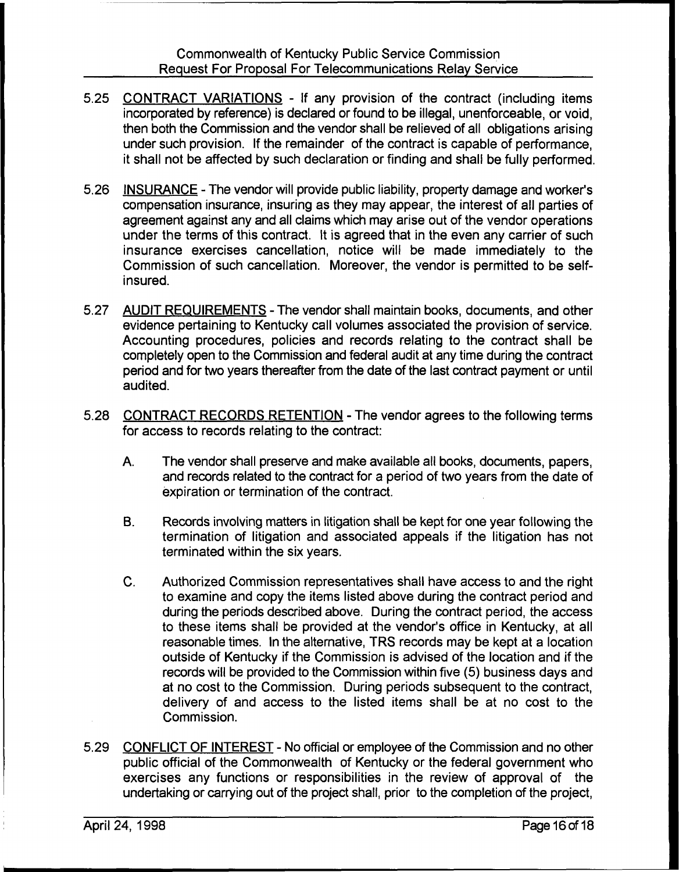- 5.25 CONTRACT VARIATIONS If any provision of the contract (including items incorporated by reference) is declared or found to be illegal, unenforceable, or void, then both the Commission and the vendor shall be relieved of all obligations arising under such provision. If the remainder of the contract is capable of performance, it shall not be affected by such declaration or finding and shall be fully performed.
- 5.26 INSURANCE The vendor will provide public liability, property damage and worker's compensation insurance, insuring as they may appear, the interest of all parties of agreement against any and all claims which may arise out of the vendor operations under the terms of this contract. It is agreed that in the even any carrier of such insurance exercises cancellation, notice will be made immediately to the Commission of such cancellation. Moreover, the vendor is permitted to be selfinsured.
- 5.27 AUDIT REQUIREMENTS The vendor shall maintain books, documents, and other evidence pertaining to Kentucky call volumes associated the provision of service. Accounting procedures, policies and records relating to the contract shall be completely open to the Commission and federal audit at any time during the contract period and for two years thereafter from the date of the last contract payment or until audited.
- 5.28 CONTRACT RECORDS RETENTION The vendor agrees to the following terms for access to records relating to the contract:
	- A. The vendor shall preserve and make available all books, documents, papers, and records related to the contract for a period of two years from the date of expiration or termination of the contract.
	- B. Records involving matters in litigation shall be kept for one year following the termination of litigation and associated appeals if the litigation has not terminated within the six years.
	- $C_{\cdot}$ Authorized Commission representatives shall have access to and the right to examine and copy the items listed above during the contract period and during the periods described above. During the contract period, the access to these items shall be provided at the vendor's office in Kentucky, at all reasonable times. In the alternative, TRS records may be kept at a location outside of Kentucky if the Commission is advised of the location and if the records will be provided to the Commission within five (5) business days and at no cost to the Commission. During periods subsequent to the contract, delivery of and access to the listed items shall be at no cost to the Commission.
- 5.29 CONFLICT OF INTEREST No official or employee of the Commission and no other public official of the Commonwealth of Kentucky or the federal government who exercises any functions or responsibilities in the review of approval of the undertaking or carrying out of the project shall, prior to the completion of the project,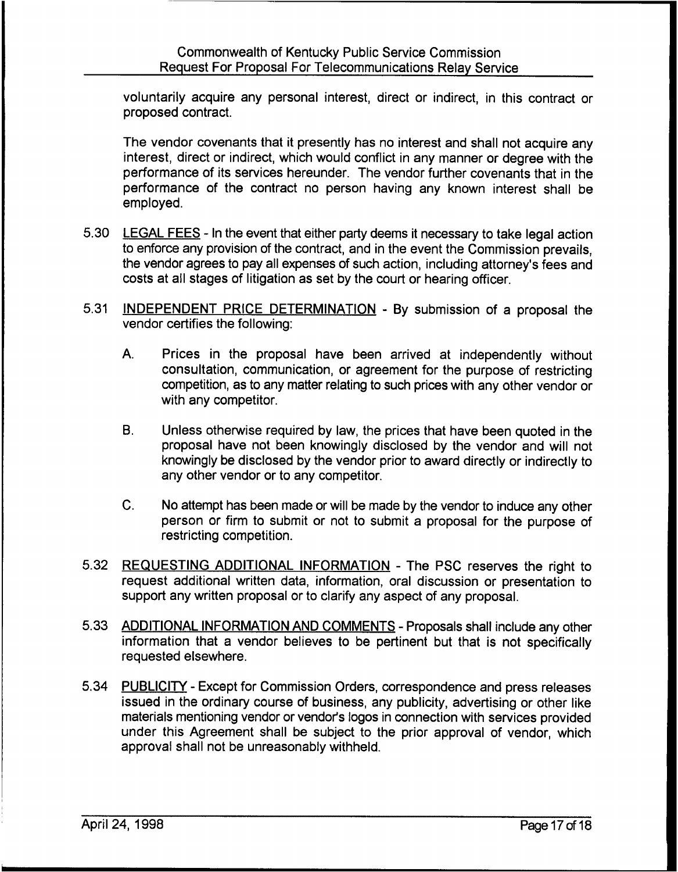voluntarily acquire any personal interest, direct or indirect, in this contract or proposed contract.

The vendor covenants that it presently has no interest and shall not acquire any interest, direct or indirect, which would conflict in any manner or degree with the performance of its services hereunder. The vendor further covenants that in the performance of the contract no person having any known interest shall be employed.

- 5.30 LEGAL FEES In the event that either party deems it necessary to take legal action to enforce any provision of the contract, and in the event the Commission prevails, the vendor agrees to pay all expenses of such action, including attorney's fees and costs at all stages of litigation as set by the court or hearing officer.
- 5.31 INDEPENDENT PRICE DETERMINATION By submission of a proposal the vendor certifies the following:
	- A. Prices in the proposal have been arrived at independently without consultation, communication, or agreement for the purpose of restricting competition, as to any matter relating to such prices with any other vendor or with any competitor.
	- B. Unless otherwise required by law, the prices that have been quoted in the proposal have not been knowingly disclosed by the vendor and will not knowingly be disclosed by the vendor prior to award directly or indirectly to any other vendor or to any competitor.
	- C. No attempt has been made or will be made by the vendor to induce any other person or firm to submit or not to submit a proposal for the purpose of restricting competition.
- 5.32 REQUESTING ADDITIONAL INFORMATION The PSC reserves the right to request additional written data, information, oral discussion or presentation to support any written proposal or to clarify any aspect of any proposal.
- 5.33 ADDITIONAL INFORMATION AND COMMENTS Proposals shall include any other information that a vendor believes to be pertinent but that is not specifically requested elsewhere.
- 5.34 PUBLICITY Except for Commission Orders, correspondence and press releases issued in the ordinary course of business, any publicity, advertising or other like materials mentioning vendor or vendor's logos in connection with services provided under this Agreement shall be subject to the prior approval of vendor, which approval shall not be unreasonably withheld.